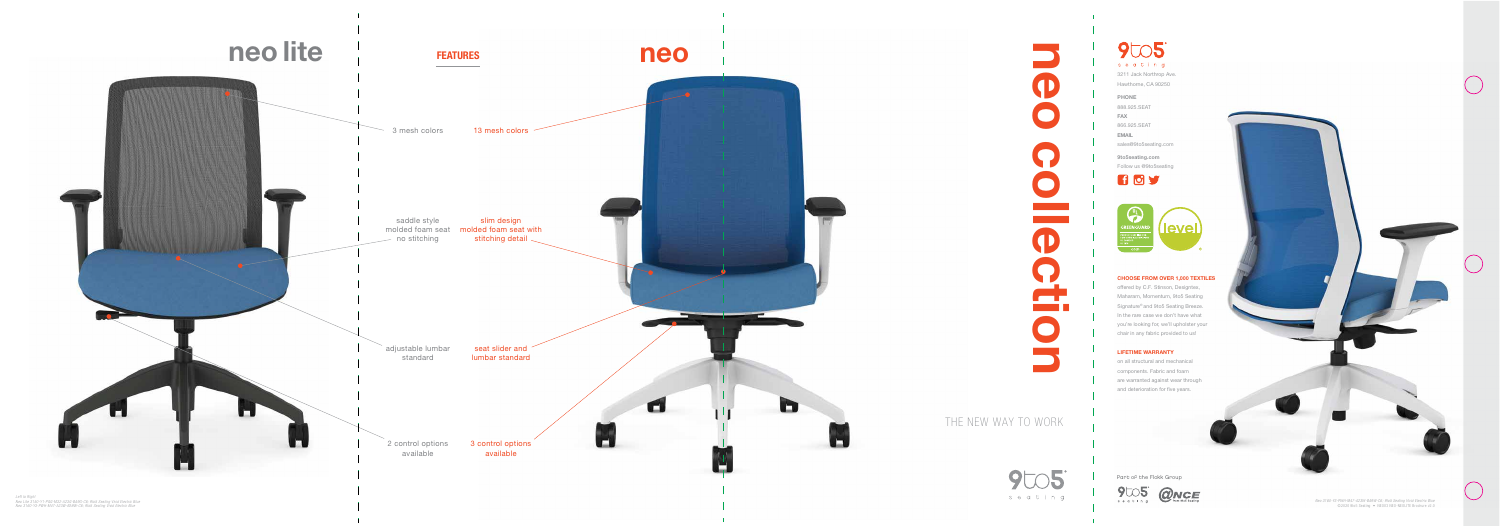# THE NEW WAY TO WORK neo collection

 $9005$ seating

# CHOOSE FROM OVER 1,000 TEXTILES

offered by C.F. Stinson, Designtex, Maharam, Momentum, 9to5 Seating Signature<sup>®</sup> and 9to5 Seating Breeze. In the ra re case we don 't have what you' re looking fo r, we'll upholster your chair in any fabric p rovided to us!

9005 seating 3211 Jack North rop Ave. Hawtho rne, CA 90250 PHONE 888.925.SE AT FAX

sales@9to5seating.com 9to5seating.com Follow us @9to5seating 607

# LIFETIME WARRANTY

on all structural and mechanical components. Fabric and foam<br>are warranted against wear through and deterioration for five years.

866.925.SE AT EMAIL



*Neo 3160-Y3-PWH-M47-A23W-BA9W-C6; 9to5 Seating Vivid Electric Blue* ©2 020 9 to5 Seating • NEO03 NEO-NEOLITE Brochure v2.0



Part of the Flokk Group